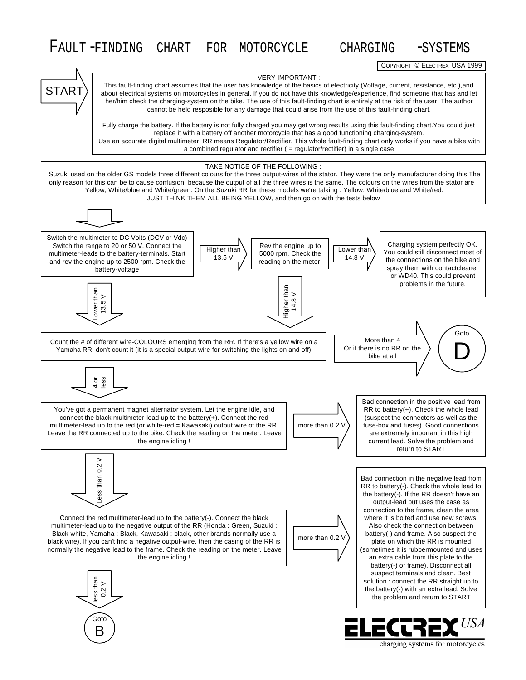## FAULT -FINDING CHART FOR MOTORCYCLE CHARGING -SYSTEMS

COPYRIGHT © ELECTREX USA 1999

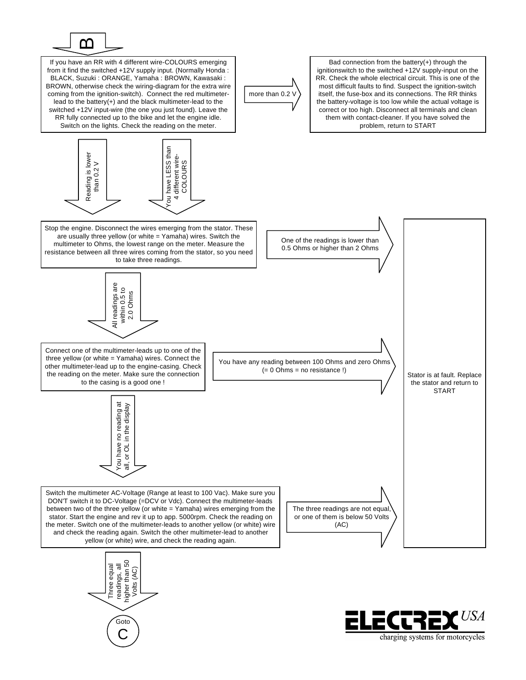

If you have an RR with 4 different wire-COLOURS emerging Bad connection from the battery(+) through the from it find the switched +12V supply input. (Normally Honda : ignitionswitch to the switched +12V supply-input on the BLACK, Suzuki : ORANGE, Yamaha : BROWN, Kawasaki : RR. Check the whole electrical circuit. This is one of the most difficult faults to find. Suspect the ignition-switch BROWN, otherwise check the wiring-diagram for the extra wire coming from the ignition-switch). Connect the red multimetermore than 0.2 \ itself, the fuse-box and its connections. The RR thinks lead to the battery(+) and the black multimeter-lead to the the battery-voltage is too low while the actual voltage is switched +12V input-wire (the one you just found). Leave the correct or too high. Disconnect all terminals and clean RR fully connected up to the bike and let the engine idle. them with contact-cleaner. If you have solved the Switch on the lights. Check the reading on the meter. problem, return to START have LESS than You have LESS than Reading is lower is lower different wire-4 different wire-COLOURS than  $0.2$  V COLOURSthan 0.2 V Reading  $\overline{5}$  $\overline{4}$ Stop the engine. Disconnect the wires emerging from the stator. These are usually three yellow (or white = Yamaha) wires. Switch the One of the readings is lower than multimeter to Ohms, the lowest range on the meter. Measure the 0.5 Ohms or higher than 2 Ohms resistance between all three wires coming from the stator, so you need to take three readings. All readings are<br>within 0.5 to<br>2.0 Ohms All readings are within 0.5 to 2.0 Ohms Connect one of the multimeter-leads up to one of the three yellow (or white = Yamaha) wires. Connect the You have any reading between 100 Ohms and zero Ohms other multimeter-lead up to the engine-casing. Check  $(= 0$  Ohms = no resistance !) the reading on the meter. Make sure the connection Stator is at fault. Replace to the casing is a good one ! the stator and return to **START** ou have no reading at You have no reading at OL in the display all, or OL in the display  $\rm \overline{o}$  $\overline{a}$ Switch the multimeter AC-Voltage (Range at least to 100 Vac). Make sure you DON'T switch it to DC-Voltage (=DCV or Vdc). Connect the multimeter-leads The three readings are not equal, between two of the three yellow (or white = Yamaha) wires emerging from the stator. Start the engine and rev it up to app. 5000rpm. Check the reading on or one of them is below 50 Volts the meter. Switch one of the multimeter-leads to another yellow (or white) wire (AC) and check the reading again. Switch the other multimeter-lead to another yellow (or white) wire, and check the reading again.



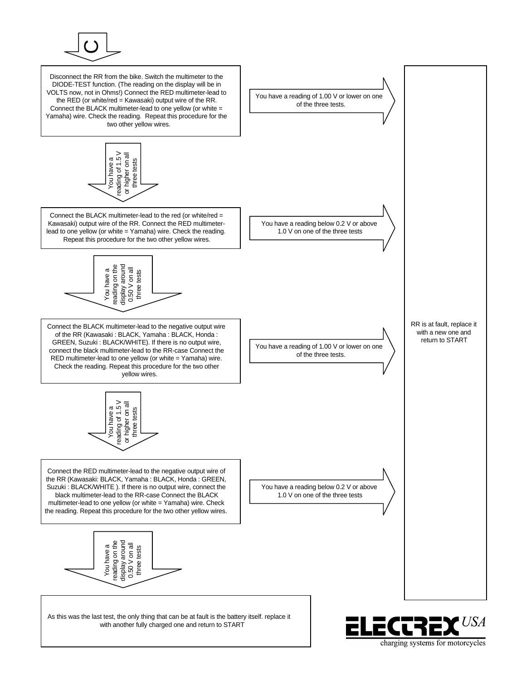

Disconnect the RR from the bike. Switch the multimeter to the DIODE-TEST function. (The reading on the display will be in VOLTS now, not in Ohms!) Connect the RED multimeter-lead to the RED (or white/red = Kawasaki) output wire of the RR. Connect the BLACK multimeter-lead to one yellow (or white = Yamaha) wire. Check the reading. Repeat this procedure for the two other yellow wires.



Connect the BLACK multimeter-lead to the red (or white/red = Kawasaki) output wire of the RR. Connect the RED multimeterlead to one yellow (or white = Yamaha) wire. Check the reading. Repeat this procedure for the two other yellow wires.



Connect the BLACK multimeter-lead to the negative output wire of the RR (Kawasaki : BLACK, Yamaha : BLACK, Honda : GREEN, Suzuki : BLACK/WHITE). If there is no output wire, connect the black multimeter-lead to the RR-case Connect the RED multimeter-lead to one yellow (or white = Yamaha) wire. Check the reading. Repeat this procedure for the two other yellow wires.



Connect the RED multimeter-lead to the negative output wire of the RR (Kawasaki: BLACK, Yamaha : BLACK, Honda : GREEN, Suzuki : BLACK/WHITE ). If there is no output wire, connect the black multimeter-lead to the RR-case Connect the BLACK multimeter-lead to one yellow (or white = Yamaha) wire. Check  $\begin{array}{rcl}\n\text{or} & \overline{\mathcal{R}} & \mathcal{R} & \mathcal{R} \\
\hline\n\text{or} & \mathcal{R} & \mathcal{R} \\
\hline\n\text{or} & \mathcal{R} & \mathcal{R} \\
\hline\n\text{or} & \mathcal{R} & \mathcal{R} \\
\hline\n\text{or} & \mathcal{R} & \mathcal{R} \\
\hline\n\text{or} & \mathcal{R} & \mathcal{R} \\
\hline\n\text{or} & \mathcal{R} & \mathcal{R} \\
\hline\n\text{or} & \mathcal{R} & \mathcal{R} \\
\hline\n\text{or} & \mathcal$ 



As this was the last test, the only thing that can be at fault is the battery itself. replace it with another fully charged one and return to START



charging systems for motorcycles

 $\mathcal{L}^{I} \mathcal{S}^{I}$